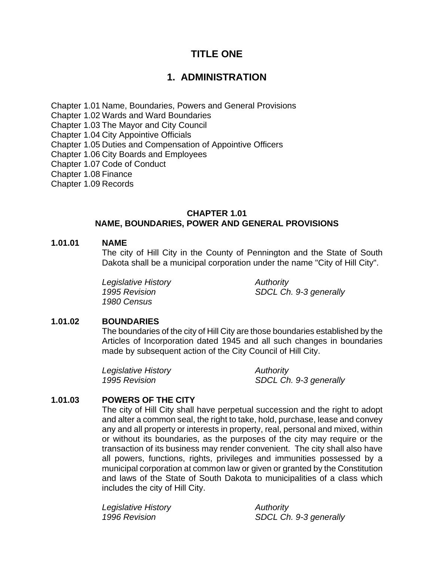# **TITLE ONE**

# **1. ADMINISTRATION**

Chapter 1.01 Name, Boundaries, Powers and General Provisions

Chapter 1.02 Wards and Ward Boundaries

Chapter 1.03 The Mayor and City Council

Chapter 1.04 City Appointive Officials

Chapter 1.05 Duties and Compensation of Appointive Officers

Chapter 1.06 City Boards and Employees

Chapter 1.07 Code of Conduct

Chapter 1.08 Finance

Chapter 1.09 Records

# **CHAPTER 1.01 NAME, BOUNDARIES, POWER AND GENERAL PROVISIONS**

#### **1.01.01 NAME**

The city of Hill City in the County of Pennington and the State of South Dakota shall be a municipal corporation under the name "City of Hill City".

*Legislative History Authority 1980 Census*

*1995 Revision SDCL Ch. 9-3 generally* 

# **1.01.02 BOUNDARIES**

The boundaries of the city of Hill City are those boundaries established by the Articles of Incorporation dated 1945 and all such changes in boundaries made by subsequent action of the City Council of Hill City.

*Legislative History Authority* 

*1995 Revision SDCL Ch. 9-3 generally*

# **1.01.03 POWERS OF THE CITY**

The city of Hill City shall have perpetual succession and the right to adopt and alter a common seal, the right to take, hold, purchase, lease and convey any and all property or interests in property, real, personal and mixed, within or without its boundaries, as the purposes of the city may require or the transaction of its business may render convenient. The city shall also have all powers, functions, rights, privileges and immunities possessed by a municipal corporation at common law or given or granted by the Constitution and laws of the State of South Dakota to municipalities of a class which includes the city of Hill City.

*Legislative History Authority* 

*1996 Revision SDCL Ch. 9-3 generally*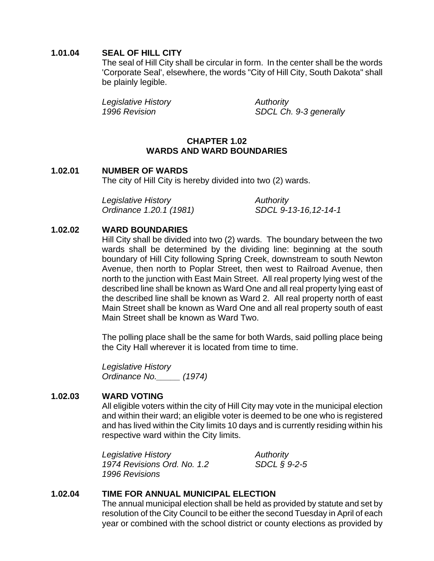# **1.01.04 SEAL OF HILL CITY**

The seal of Hill City shall be circular in form. In the center shall be the words 'Corporate Seal', elsewhere, the words "City of Hill City, South Dakota" shall be plainly legible.

*Legislative History Authority* 

*1996 Revision SDCL Ch. 9-3 generally*

# **CHAPTER 1.02 WARDS AND WARD BOUNDARIES**

#### **1.02.01 NUMBER OF WARDS** The city of Hill City is hereby divided into two (2) wards.

*Legislative History Authority Ordinance 1.20.1 (1981) SDCL 9-13-16,12-14-1*

#### **1.02.02 WARD BOUNDARIES**

Hill City shall be divided into two (2) wards. The boundary between the two wards shall be determined by the dividing line: beginning at the south boundary of Hill City following Spring Creek, downstream to south Newton Avenue, then north to Poplar Street, then west to Railroad Avenue, then north to the junction with East Main Street. All real property lying west of the described line shall be known as Ward One and all real property lying east of the described line shall be known as Ward 2. All real property north of east Main Street shall be known as Ward One and all real property south of east Main Street shall be known as Ward Two.

The polling place shall be the same for both Wards, said polling place being the City Hall wherever it is located from time to time.

*Legislative History Ordinance No.\_\_\_\_\_ (1974)*

# **1.02.03 WARD VOTING**

All eligible voters within the city of Hill City may vote in the municipal election and within their ward; an eligible voter is deemed to be one who is registered and has lived within the City limits 10 days and is currently residing within his respective ward within the City limits.

*Legislative History Authority 1974 Revisions Ord. No. 1.2 SDCL § 9-2-5 1996 Revisions*

# **1.02.04 TIME FOR ANNUAL MUNICIPAL ELECTION**

The annual municipal election shall be held as provided by statute and set by resolution of the City Council to be either the second Tuesday in April of each year or combined with the school district or county elections as provided by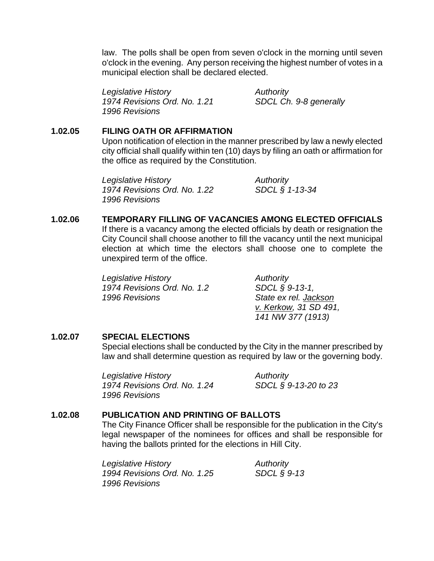law. The polls shall be open from seven o'clock in the morning until seven o'clock in the evening. Any person receiving the highest number of votes in a municipal election shall be declared elected.

*Legislative History Authority 1974 Revisions Ord. No. 1.21 SDCL Ch. 9-8 generally 1996 Revisions*

# **1.02.05 FILING OATH OR AFFIRMATION**

Upon notification of election in the manner prescribed by law a newly elected city official shall qualify within ten (10) days by filing an oath or affirmation for the office as required by the Constitution.

*Legislative History Authority 1974 Revisions Ord. No. 1.22 SDCL § 1-13-34 1996 Revisions*

# **1.02.06 TEMPORARY FILLING OF VACANCIES AMONG ELECTED OFFICIALS**

If there is a vacancy among the elected officials by death or resignation the City Council shall choose another to fill the vacancy until the next municipal election at which time the electors shall choose one to complete the unexpired term of the office.

**Legislative History Authority** *1974 Revisions Ord. No. 1.2 SDCL § 9-13-1, 1996 Revisions State ex rel. Jackson*

*v. Kerkow, 31 SD 491, 141 NW 377 (1913)*

# **1.02.07 SPECIAL ELECTIONS**

Special elections shall be conducted by the City in the manner prescribed by law and shall determine question as required by law or the governing body.

*Legislative History Authority 1974 Revisions Ord. No. 1.24 SDCL § 9-13-20 to 23 1996 Revisions*

# **1.02.08 PUBLICATION AND PRINTING OF BALLOTS**

The City Finance Officer shall be responsible for the publication in the City's legal newspaper of the nominees for offices and shall be responsible for having the ballots printed for the elections in Hill City.

*Legislative History Authority 1994 Revisions Ord. No. 1.25 SDCL § 9-13 1996 Revisions*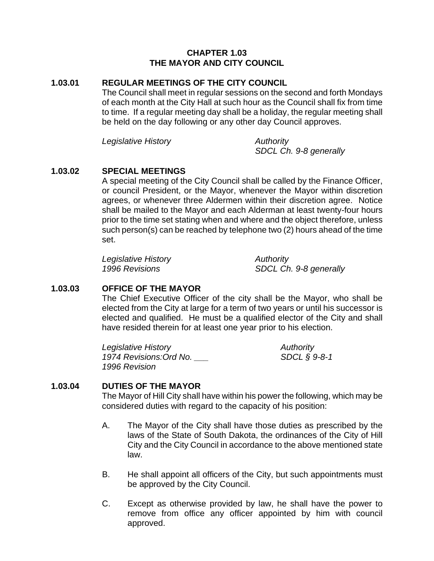#### **CHAPTER 1.03 THE MAYOR AND CITY COUNCIL**

#### **1.03.01 REGULAR MEETINGS OF THE CITY COUNCIL**

The Council shall meet in regular sessions on the second and forth Mondays of each month at the City Hall at such hour as the Council shall fix from time to time. If a regular meeting day shall be a holiday, the regular meeting shall be held on the day following or any other day Council approves.

*Legislative History Authority* 

*SDCL Ch. 9-8 generally*

#### **1.03.02 SPECIAL MEETINGS**

A special meeting of the City Council shall be called by the Finance Officer, or council President, or the Mayor, whenever the Mayor within discretion agrees, or whenever three Aldermen within their discretion agree. Notice shall be mailed to the Mayor and each Alderman at least twenty-four hours prior to the time set stating when and where and the object therefore, unless such person(s) can be reached by telephone two (2) hours ahead of the time set.

*Legislative History Authority* 

*1996 Revisions SDCL Ch. 9-8 generally*

# **1.03.03 OFFICE OF THE MAYOR**

The Chief Executive Officer of the city shall be the Mayor, who shall be elected from the City at large for a term of two years or until his successor is elected and qualified. He must be a qualified elector of the City and shall have resided therein for at least one year prior to his election.

*Legislative History* **Authority** *Authority 1974 Revisions:Ord No. \_\_\_ SDCL § 9-8-1 1996 Revision*

#### **1.03.04 DUTIES OF THE MAYOR**

The Mayor of Hill City shall have within his power the following, which may be considered duties with regard to the capacity of his position:

- A. The Mayor of the City shall have those duties as prescribed by the laws of the State of South Dakota, the ordinances of the City of Hill City and the City Council in accordance to the above mentioned state law.
- B. He shall appoint all officers of the City, but such appointments must be approved by the City Council.
- C. Except as otherwise provided by law, he shall have the power to remove from office any officer appointed by him with council approved.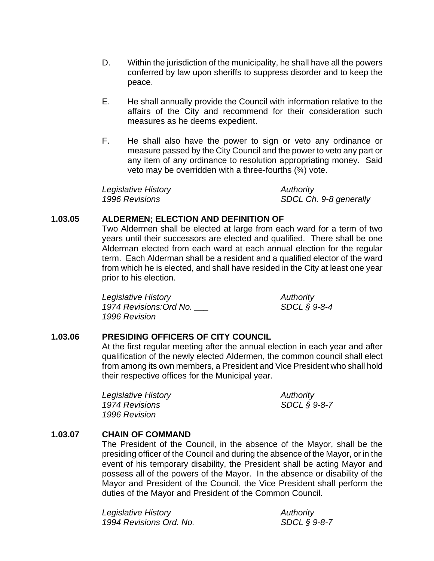- D. Within the jurisdiction of the municipality, he shall have all the powers conferred by law upon sheriffs to suppress disorder and to keep the peace.
- E. He shall annually provide the Council with information relative to the affairs of the City and recommend for their consideration such measures as he deems expedient.
- F. He shall also have the power to sign or veto any ordinance or measure passed by the City Council and the power to veto any part or any item of any ordinance to resolution appropriating money. Said veto may be overridden with a three-fourths  $(3/4)$  vote.

*Legislative History* **Authority** *Authority 1996 Revisions SDCL Ch. 9-8 generally*

# **1.03.05 ALDERMEN; ELECTION AND DEFINITION OF**

Two Aldermen shall be elected at large from each ward for a term of two years until their successors are elected and qualified. There shall be one Alderman elected from each ward at each annual election for the regular term. Each Alderman shall be a resident and a qualified elector of the ward from which he is elected, and shall have resided in the City at least one year prior to his election.

| Legislative History     | Authority       |
|-------------------------|-----------------|
| 1974 Revisions: Ord No. | SDCL $\S$ 9-8-4 |
| 1996 Revision           |                 |

# **1.03.06 PRESIDING OFFICERS OF CITY COUNCIL**

At the first regular meeting after the annual election in each year and after qualification of the newly elected Aldermen, the common council shall elect from among its own members, a President and Vice President who shall hold their respective offices for the Municipal year.

*Legislative History Authority 1974 Revisions SDCL § 9-8-7 1996 Revision*

# **1.03.07 CHAIN OF COMMAND**

The President of the Council, in the absence of the Mayor, shall be the presiding officer of the Council and during the absence of the Mayor, or in the event of his temporary disability, the President shall be acting Mayor and possess all of the powers of the Mayor. In the absence or disability of the Mayor and President of the Council, the Vice President shall perform the duties of the Mayor and President of the Common Council.

*Legislative History Authority 1994 Revisions Ord. No. SDCL § 9-8-7*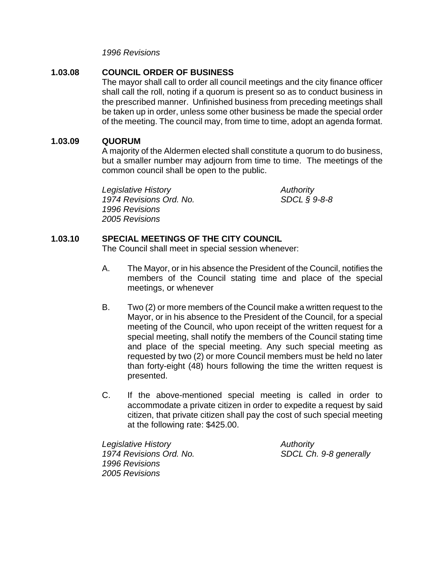*1996 Revisions*

# **1.03.08 COUNCIL ORDER OF BUSINESS**

The mayor shall call to order all council meetings and the city finance officer shall call the roll, noting if a quorum is present so as to conduct business in the prescribed manner. Unfinished business from preceding meetings shall be taken up in order, unless some other business be made the special order of the meeting. The council may, from time to time, adopt an agenda format.

#### **1.03.09 QUORUM**

A majority of the Aldermen elected shall constitute a quorum to do business, but a smaller number may adjourn from time to time. The meetings of the common council shall be open to the public.

*Legislative History Authority 1974 Revisions Ord. No. SDCL § 9-8-8 1996 Revisions 2005 Revisions*

# **1.03.10 SPECIAL MEETINGS OF THE CITY COUNCIL**

The Council shall meet in special session whenever:

- A. The Mayor, or in his absence the President of the Council, notifies the members of the Council stating time and place of the special meetings, or whenever
- B. Two (2) or more members of the Council make a written request to the Mayor, or in his absence to the President of the Council, for a special meeting of the Council, who upon receipt of the written request for a special meeting, shall notify the members of the Council stating time and place of the special meeting. Any such special meeting as requested by two (2) or more Council members must be held no later than forty-eight (48) hours following the time the written request is presented.
- C. If the above-mentioned special meeting is called in order to accommodate a private citizen in order to expedite a request by said citizen, that private citizen shall pay the cost of such special meeting at the following rate: \$425.00.

*Legislative History Authority 1974 Revisions Ord. No. SDCL Ch. 9-8 generally 1996 Revisions 2005 Revisions*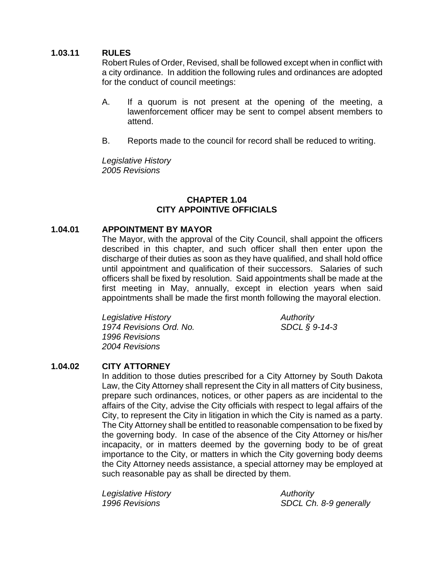# **1.03.11 RULES**

Robert Rules of Order, Revised, shall be followed except when in conflict with a city ordinance. In addition the following rules and ordinances are adopted for the conduct of council meetings:

- A. If a quorum is not present at the opening of the meeting, a lawenforcement officer may be sent to compel absent members to attend.
- B. Reports made to the council for record shall be reduced to writing.

*Legislative History 2005 Revisions*

#### **CHAPTER 1.04 CITY APPOINTIVE OFFICIALS**

# **1.04.01 APPOINTMENT BY MAYOR**

The Mayor, with the approval of the City Council, shall appoint the officers described in this chapter, and such officer shall then enter upon the discharge of their duties as soon as they have qualified, and shall hold office until appointment and qualification of their successors. Salaries of such officers shall be fixed by resolution. Said appointments shall be made at the first meeting in May, annually, except in election years when said appointments shall be made the first month following the mayoral election.

*Legislative History Authority 1974 Revisions Ord. No. SDCL § 9-14-3 1996 Revisions 2004 Revisions*

# **1.04.02 CITY ATTORNEY**

In addition to those duties prescribed for a City Attorney by South Dakota Law, the City Attorney shall represent the City in all matters of City business, prepare such ordinances, notices, or other papers as are incidental to the affairs of the City, advise the City officials with respect to legal affairs of the City, to represent the City in litigation in which the City is named as a party. The City Attorney shall be entitled to reasonable compensation to be fixed by the governing body. In case of the absence of the City Attorney or his/her incapacity, or in matters deemed by the governing body to be of great importance to the City, or matters in which the City governing body deems the City Attorney needs assistance, a special attorney may be employed at such reasonable pay as shall be directed by them.

*Legislative History* **Authority** *Authority* 

*1996 Revisions SDCL Ch. 8-9 generally*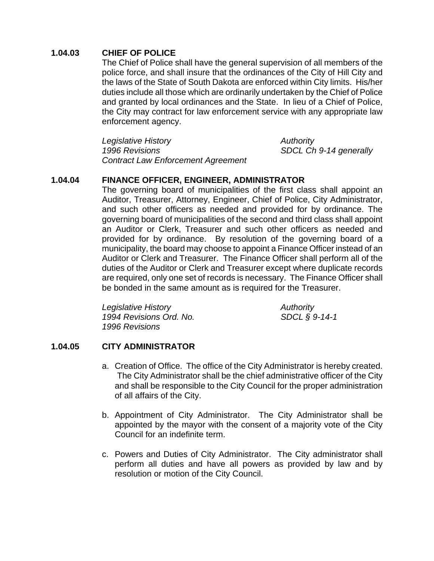# **1.04.03 CHIEF OF POLICE**

The Chief of Police shall have the general supervision of all members of the police force, and shall insure that the ordinances of the City of Hill City and the laws of the State of South Dakota are enforced within City limits. His/her duties include all those which are ordinarily undertaken by the Chief of Police and granted by local ordinances and the State. In lieu of a Chief of Police, the City may contract for law enforcement service with any appropriate law enforcement agency.

*Legislative History Authority 1996 Revisions SDCL Ch 9-14 generally Contract Law Enforcement Agreement* 

# **1.04.04 FINANCE OFFICER, ENGINEER, ADMINISTRATOR**

The governing board of municipalities of the first class shall appoint an Auditor, Treasurer, Attorney, Engineer, Chief of Police, City Administrator, and such other officers as needed and provided for by ordinance. The governing board of municipalities of the second and third class shall appoint an Auditor or Clerk, Treasurer and such other officers as needed and provided for by ordinance. By resolution of the governing board of a municipality, the board may choose to appoint a Finance Officer instead of an Auditor or Clerk and Treasurer. The Finance Officer shall perform all of the duties of the Auditor or Clerk and Treasurer except where duplicate records are required, only one set of records is necessary. The Finance Officer shall be bonded in the same amount as is required for the Treasurer.

| Legislative History     | Authority     |
|-------------------------|---------------|
| 1994 Revisions Ord. No. | SDCL § 9-14-1 |
| 1996 Revisions          |               |

# **1.04.05 CITY ADMINISTRATOR**

- a. Creation of Office. The office of the City Administrator is hereby created. The City Administrator shall be the chief administrative officer of the City and shall be responsible to the City Council for the proper administration of all affairs of the City.
- b. Appointment of City Administrator. The City Administrator shall be appointed by the mayor with the consent of a majority vote of the City Council for an indefinite term.
- c. Powers and Duties of City Administrator. The City administrator shall perform all duties and have all powers as provided by law and by resolution or motion of the City Council.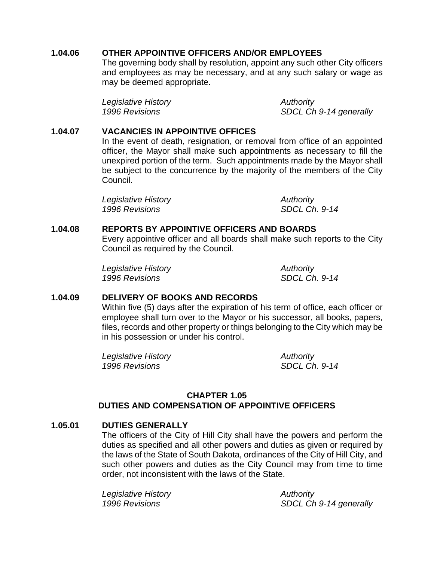#### **1.04.06 OTHER APPOINTIVE OFFICERS AND/OR EMPLOYEES**

The governing body shall by resolution, appoint any such other City officers and employees as may be necessary, and at any such salary or wage as may be deemed appropriate.

*Legislative History* **Authority** *Authority* 

*1996 Revisions SDCL Ch 9-14 generally* 

#### **1.04.07 VACANCIES IN APPOINTIVE OFFICES**

In the event of death, resignation, or removal from office of an appointed officer, the Mayor shall make such appointments as necessary to fill the unexpired portion of the term. Such appointments made by the Mayor shall be subject to the concurrence by the majority of the members of the City Council.

| Legislative History | Authority            |
|---------------------|----------------------|
| 1996 Revisions      | <b>SDCL Ch. 9-14</b> |

#### **1.04.08 REPORTS BY APPOINTIVE OFFICERS AND BOARDS**

Every appointive officer and all boards shall make such reports to the City Council as required by the Council.

*Legislative History Authority 1996 Revisions SDCL Ch. 9-14* 

# **1.04.09 DELIVERY OF BOOKS AND RECORDS**

Within five (5) days after the expiration of his term of office, each officer or employee shall turn over to the Mayor or his successor, all books, papers, files, records and other property or things belonging to the City which may be in his possession or under his control.

*Legislative History Authority 1996 Revisions SDCL Ch. 9-14*

# **CHAPTER 1.05 DUTIES AND COMPENSATION OF APPOINTIVE OFFICERS**

# **1.05.01 DUTIES GENERALLY**

The officers of the City of Hill City shall have the powers and perform the duties as specified and all other powers and duties as given or required by the laws of the State of South Dakota, ordinances of the City of Hill City, and such other powers and duties as the City Council may from time to time order, not inconsistent with the laws of the State.

*Legislative History Authority* 

*1996 Revisions SDCL Ch 9-14 generally*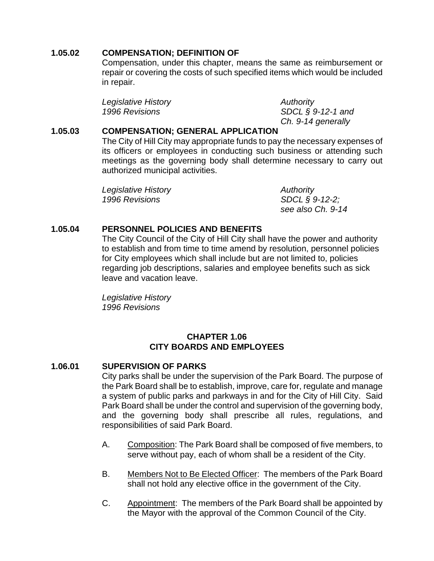# **1.05.02 COMPENSATION; DEFINITION OF**

Compensation, under this chapter, means the same as reimbursement or repair or covering the costs of such specified items which would be included in repair.

*Legislative History* **Authority** *Authority* 

*1996 Revisions SDCL § 9-12-1 and Ch. 9-14 generally*

# **1.05.03 COMPENSATION; GENERAL APPLICATION**

The City of Hill City may appropriate funds to pay the necessary expenses of its officers or employees in conducting such business or attending such meetings as the governing body shall determine necessary to carry out authorized municipal activities.

| Legislative History | Authority         |
|---------------------|-------------------|
| 1996 Revisions      | $SDCL$ § 9-12-2;  |
|                     | see also Ch. 9-14 |

# **1.05.04 PERSONNEL POLICIES AND BENEFITS**

The City Council of the City of Hill City shall have the power and authority to establish and from time to time amend by resolution, personnel policies for City employees which shall include but are not limited to, policies regarding job descriptions, salaries and employee benefits such as sick leave and vacation leave.

*Legislative History 1996 Revisions*

#### **CHAPTER 1.06 CITY BOARDS AND EMPLOYEES**

# **1.06.01 SUPERVISION OF PARKS**

City parks shall be under the supervision of the Park Board. The purpose of the Park Board shall be to establish, improve, care for, regulate and manage a system of public parks and parkways in and for the City of Hill City. Said Park Board shall be under the control and supervision of the governing body, and the governing body shall prescribe all rules, regulations, and responsibilities of said Park Board.

- A. Composition: The Park Board shall be composed of five members, to serve without pay, each of whom shall be a resident of the City.
- B. Members Not to Be Elected Officer: The members of the Park Board shall not hold any elective office in the government of the City.
- C. Appointment: The members of the Park Board shall be appointed by the Mayor with the approval of the Common Council of the City.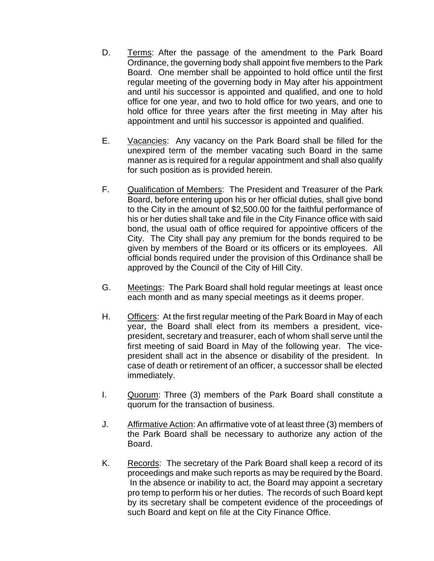- D. Terms: After the passage of the amendment to the Park Board Ordinance, the governing body shall appoint five members to the Park Board. One member shall be appointed to hold office until the first regular meeting of the governing body in May after his appointment and until his successor is appointed and qualified, and one to hold office for one year, and two to hold office for two years, and one to hold office for three years after the first meeting in May after his appointment and until his successor is appointed and qualified.
- E. Vacancies: Any vacancy on the Park Board shall be filled for the unexpired term of the member vacating such Board in the same manner as is required for a regular appointment and shall also qualify for such position as is provided herein.
- F. Qualification of Members: The President and Treasurer of the Park Board, before entering upon his or her official duties, shall give bond to the City in the amount of \$2,500.00 for the faithful performance of his or her duties shall take and file in the City Finance office with said bond, the usual oath of office required for appointive officers of the City. The City shall pay any premium for the bonds required to be given by members of the Board or its officers or its employees. All official bonds required under the provision of this Ordinance shall be approved by the Council of the City of Hill City.
- G. Meetings: The Park Board shall hold regular meetings at least once each month and as many special meetings as it deems proper.
- H. Officers: At the first regular meeting of the Park Board in May of each year, the Board shall elect from its members a president, vicepresident, secretary and treasurer, each of whom shall serve until the first meeting of said Board in May of the following year. The vicepresident shall act in the absence or disability of the president. In case of death or retirement of an officer, a successor shall be elected immediately.
- I. Quorum: Three (3) members of the Park Board shall constitute a quorum for the transaction of business.
- J. Affirmative Action: An affirmative vote of at least three (3) members of the Park Board shall be necessary to authorize any action of the Board.
- K. Records: The secretary of the Park Board shall keep a record of its proceedings and make such reports as may be required by the Board. In the absence or inability to act, the Board may appoint a secretary pro temp to perform his or her duties. The records of such Board kept by its secretary shall be competent evidence of the proceedings of such Board and kept on file at the City Finance Office.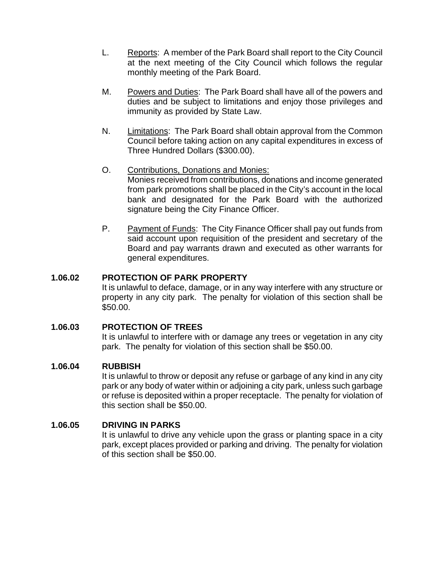- L. Reports: A member of the Park Board shall report to the City Council at the next meeting of the City Council which follows the regular monthly meeting of the Park Board.
- M. Powers and Duties: The Park Board shall have all of the powers and duties and be subject to limitations and enjoy those privileges and immunity as provided by State Law.
- N. Limitations: The Park Board shall obtain approval from the Common Council before taking action on any capital expenditures in excess of Three Hundred Dollars (\$300.00).
- O. Contributions, Donations and Monies: Monies received from contributions, donations and income generated from park promotions shall be placed in the City's account in the local bank and designated for the Park Board with the authorized signature being the City Finance Officer.
- P. Payment of Funds: The City Finance Officer shall pay out funds from said account upon requisition of the president and secretary of the Board and pay warrants drawn and executed as other warrants for general expenditures.

# **1.06.02 PROTECTION OF PARK PROPERTY**

It is unlawful to deface, damage, or in any way interfere with any structure or property in any city park. The penalty for violation of this section shall be \$50.00.

# **1.06.03 PROTECTION OF TREES**

It is unlawful to interfere with or damage any trees or vegetation in any city park. The penalty for violation of this section shall be \$50.00.

# **1.06.04 RUBBISH**

It is unlawful to throw or deposit any refuse or garbage of any kind in any city park or any body of water within or adjoining a city park, unless such garbage or refuse is deposited within a proper receptacle. The penalty for violation of this section shall be \$50.00.

# **1.06.05 DRIVING IN PARKS**

It is unlawful to drive any vehicle upon the grass or planting space in a city park, except places provided or parking and driving. The penalty for violation of this section shall be \$50.00.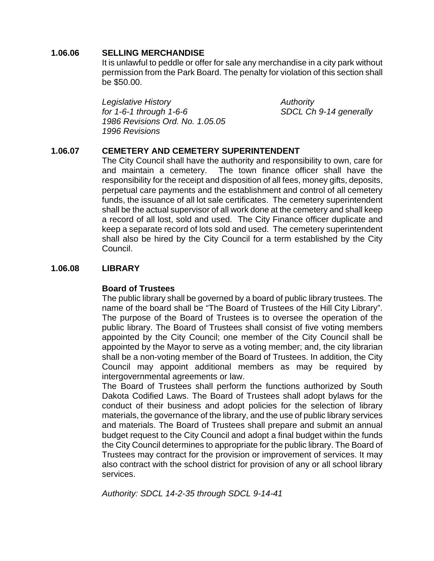#### **1.06.06 SELLING MERCHANDISE**

It is unlawful to peddle or offer for sale any merchandise in a city park without permission from the Park Board. The penalty for violation of this section shall be \$50.00.

*Legislative History Authority for 1-6-1 through 1-6-6 SDCL Ch 9-14 generally 1986 Revisions Ord. No. 1.05.05 1996 Revisions*

# **1.06.07 CEMETERY AND CEMETERY SUPERINTENDENT**

The City Council shall have the authority and responsibility to own, care for and maintain a cemetery. The town finance officer shall have the responsibility for the receipt and disposition of all fees, money gifts, deposits, perpetual care payments and the establishment and control of all cemetery funds, the issuance of all lot sale certificates. The cemetery superintendent shall be the actual supervisor of all work done at the cemetery and shall keep a record of all lost, sold and used. The City Finance officer duplicate and keep a separate record of lots sold and used. The cemetery superintendent shall also be hired by the City Council for a term established by the City Council.

# **1.06.08 LIBRARY**

# **Board of Trustees**

The public library shall be governed by a board of public library trustees. The name of the board shall be "The Board of Trustees of the Hill City Library". The purpose of the Board of Trustees is to oversee the operation of the public library. The Board of Trustees shall consist of five voting members appointed by the City Council; one member of the City Council shall be appointed by the Mayor to serve as a voting member; and, the city librarian shall be a non-voting member of the Board of Trustees. In addition, the City Council may appoint additional members as may be required by intergovernmental agreements or law.

The Board of Trustees shall perform the functions authorized by South Dakota Codified Laws. The Board of Trustees shall adopt bylaws for the conduct of their business and adopt policies for the selection of library materials, the governance of the library, and the use of public library services and materials. The Board of Trustees shall prepare and submit an annual budget request to the City Council and adopt a final budget within the funds the City Council determines to appropriate for the public library. The Board of Trustees may contract for the provision or improvement of services. It may also contract with the school district for provision of any or all school library services.

*Authority: SDCL 14-2-35 through SDCL 9-14-41*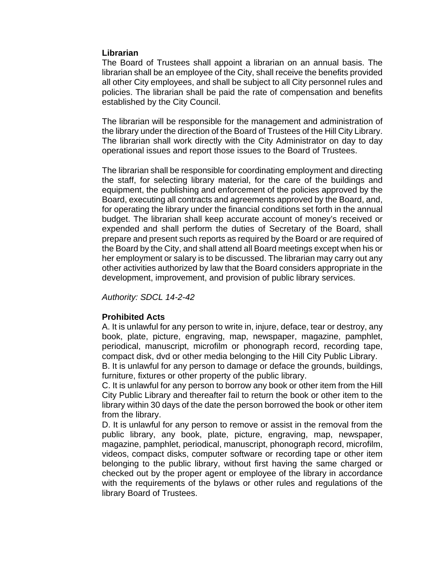#### **Librarian**

The Board of Trustees shall appoint a librarian on an annual basis. The librarian shall be an employee of the City, shall receive the benefits provided all other City employees, and shall be subject to all City personnel rules and policies. The librarian shall be paid the rate of compensation and benefits established by the City Council.

The librarian will be responsible for the management and administration of the library under the direction of the Board of Trustees of the Hill City Library. The librarian shall work directly with the City Administrator on day to day operational issues and report those issues to the Board of Trustees.

The librarian shall be responsible for coordinating employment and directing the staff, for selecting library material, for the care of the buildings and equipment, the publishing and enforcement of the policies approved by the Board, executing all contracts and agreements approved by the Board, and, for operating the library under the financial conditions set forth in the annual budget. The librarian shall keep accurate account of money's received or expended and shall perform the duties of Secretary of the Board, shall prepare and present such reports as required by the Board or are required of the Board by the City, and shall attend all Board meetings except when his or her employment or salary is to be discussed. The librarian may carry out any other activities authorized by law that the Board considers appropriate in the development, improvement, and provision of public library services.

*Authority: SDCL 14-2-42* 

# **Prohibited Acts**

A. It is unlawful for any person to write in, injure, deface, tear or destroy, any book, plate, picture, engraving, map, newspaper, magazine, pamphlet, periodical, manuscript, microfilm or phonograph record, recording tape, compact disk, dvd or other media belonging to the Hill City Public Library.

B. It is unlawful for any person to damage or deface the grounds, buildings, furniture, fixtures or other property of the public library.

C. It is unlawful for any person to borrow any book or other item from the Hill City Public Library and thereafter fail to return the book or other item to the library within 30 days of the date the person borrowed the book or other item from the library.

D. It is unlawful for any person to remove or assist in the removal from the public library, any book, plate, picture, engraving, map, newspaper, magazine, pamphlet, periodical, manuscript, phonograph record, microfilm, videos, compact disks, computer software or recording tape or other item belonging to the public library, without first having the same charged or checked out by the proper agent or employee of the library in accordance with the requirements of the bylaws or other rules and regulations of the library Board of Trustees.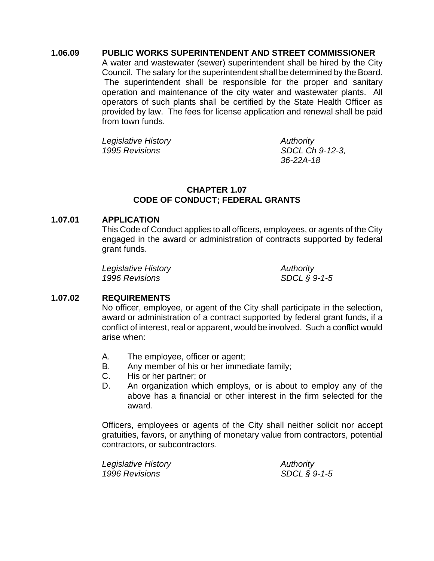#### **1.06.09 PUBLIC WORKS SUPERINTENDENT AND STREET COMMISSIONER**

A water and wastewater (sewer) superintendent shall be hired by the City Council. The salary for the superintendent shall be determined by the Board. The superintendent shall be responsible for the proper and sanitary operation and maintenance of the city water and wastewater plants. All operators of such plants shall be certified by the State Health Officer as provided by law. The fees for license application and renewal shall be paid from town funds.

*Legislative History Authority 1995 Revisions SDCL Ch 9-12-3,* 

*36-22A-18*

# **CHAPTER 1.07 CODE OF CONDUCT; FEDERAL GRANTS**

#### **1.07.01 APPLICATION**

This Code of Conduct applies to all officers, employees, or agents of the City engaged in the award or administration of contracts supported by federal grant funds.

*Legislative History Authority 1996 Revisions SDCL § 9-1-5* 

# **1.07.02 REQUIREMENTS**

No officer, employee, or agent of the City shall participate in the selection, award or administration of a contract supported by federal grant funds, if a conflict of interest, real or apparent, would be involved. Such a conflict would arise when:

- A. The employee, officer or agent;
- B. Any member of his or her immediate family;
- C. His or her partner; or
- D. An organization which employs, or is about to employ any of the above has a financial or other interest in the firm selected for the award.

Officers, employees or agents of the City shall neither solicit nor accept gratuities, favors, or anything of monetary value from contractors, potential contractors, or subcontractors.

| Legislative History | Authority       |
|---------------------|-----------------|
| 1996 Revisions      | SDCL $\S$ 9-1-5 |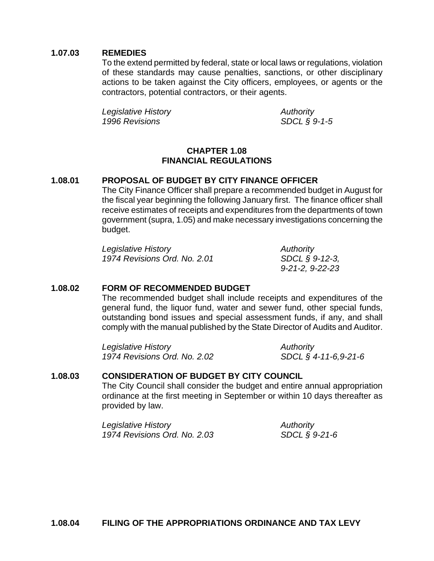#### **1.07.03 REMEDIES**

To the extend permitted by federal, state or local laws or regulations, violation of these standards may cause penalties, sanctions, or other disciplinary actions to be taken against the City officers, employees, or agents or the contractors, potential contractors, or their agents.

*Legislative History Authority 1996 Revisions SDCL § 9-1-5*

#### **CHAPTER 1.08 FINANCIAL REGULATIONS**

# **1.08.01 PROPOSAL OF BUDGET BY CITY FINANCE OFFICER**

The City Finance Officer shall prepare a recommended budget in August for the fiscal year beginning the following January first. The finance officer shall receive estimates of receipts and expenditures from the departments of town government (supra, 1.05) and make necessary investigations concerning the budget.

| Legislative History          | Authority                 |
|------------------------------|---------------------------|
| 1974 Revisions Ord. No. 2.01 | SDCL § 9-12-3,            |
|                              | $9 - 21 - 2, 9 - 22 - 23$ |

#### **1.08.02 FORM OF RECOMMENDED BUDGET**

The recommended budget shall include receipts and expenditures of the general fund, the liquor fund, water and sewer fund, other special funds, outstanding bond issues and special assessment funds, if any, and shall comply with the manual published by the State Director of Audits and Auditor.

*Legislative History Authority 1974 Revisions Ord. No. 2.02 SDCL § 4-11-6,9-21-6* 

# **1.08.03 CONSIDERATION OF BUDGET BY CITY COUNCIL**

The City Council shall consider the budget and entire annual appropriation ordinance at the first meeting in September or within 10 days thereafter as provided by law.

*Legislative History Authority 1974 Revisions Ord. No. 2.03 SDCL § 9-21-6*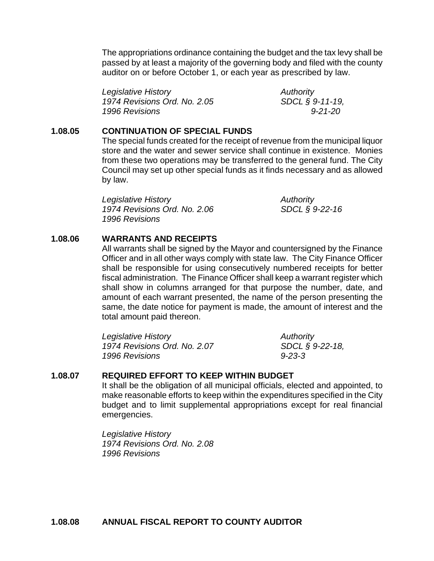The appropriations ordinance containing the budget and the tax levy shall be passed by at least a majority of the governing body and filed with the county auditor on or before October 1, or each year as prescribed by law.

*Legislative History* **Authority** *Authority 1974 Revisions Ord. No. 2.05 SDCL § 9-11-19, 1996 Revisions 9-21-20* 

#### **1.08.05 CONTINUATION OF SPECIAL FUNDS**

The special funds created for the receipt of revenue from the municipal liquor store and the water and sewer service shall continue in existence. Monies from these two operations may be transferred to the general fund. The City Council may set up other special funds as it finds necessary and as allowed by law.

*Legislative History Authority 1974 Revisions Ord. No. 2.06 SDCL § 9-22-16 1996 Revisions* 

#### **1.08.06 WARRANTS AND RECEIPTS**

All warrants shall be signed by the Mayor and countersigned by the Finance Officer and in all other ways comply with state law. The City Finance Officer shall be responsible for using consecutively numbered receipts for better fiscal administration. The Finance Officer shall keep a warrant register which shall show in columns arranged for that purpose the number, date, and amount of each warrant presented, the name of the person presenting the same, the date notice for payment is made, the amount of interest and the total amount paid thereon.

*Legislative History Authority 1974 Revisions Ord. No. 2.07 SDCL § 9-22-18, 1996 Revisions 9-23-3* 

# **1.08.07 REQUIRED EFFORT TO KEEP WITHIN BUDGET**

It shall be the obligation of all municipal officials, elected and appointed, to make reasonable efforts to keep within the expenditures specified in the City budget and to limit supplemental appropriations except for real financial emergencies.

*Legislative History 1974 Revisions Ord. No. 2.08 1996 Revisions*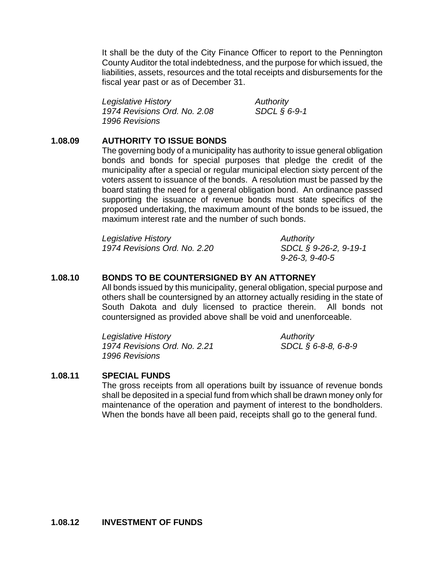It shall be the duty of the City Finance Officer to report to the Pennington County Auditor the total indebtedness, and the purpose for which issued, the liabilities, assets, resources and the total receipts and disbursements for the fiscal year past or as of December 31.

*Legislative History Authority 1974 Revisions Ord. No. 2.08 SDCL § 6-9-1 1996 Revisions* 

#### **1.08.09 AUTHORITY TO ISSUE BONDS**

The governing body of a municipality has authority to issue general obligation bonds and bonds for special purposes that pledge the credit of the municipality after a special or regular municipal election sixty percent of the voters assent to issuance of the bonds. A resolution must be passed by the board stating the need for a general obligation bond. An ordinance passed supporting the issuance of revenue bonds must state specifics of the proposed undertaking, the maximum amount of the bonds to be issued, the maximum interest rate and the number of such bonds.

*Legislative History Authority 1974 Revisions Ord. No. 2.20 SDCL § 9-26-2, 9-19-1* 

*9-26-3, 9-40-5* 

#### **1.08.10 BONDS TO BE COUNTERSIGNED BY AN ATTORNEY**

All bonds issued by this municipality, general obligation, special purpose and others shall be countersigned by an attorney actually residing in the state of South Dakota and duly licensed to practice therein. All bonds not countersigned as provided above shall be void and unenforceable.

*Legislative History* **Authority** *Authority 1974 Revisions Ord. No. 2.21 SDCL § 6-8-8, 6-8-9 1996 Revisions* 

#### **1.08.11 SPECIAL FUNDS**

The gross receipts from all operations built by issuance of revenue bonds shall be deposited in a special fund from which shall be drawn money only for maintenance of the operation and payment of interest to the bondholders. When the bonds have all been paid, receipts shall go to the general fund.